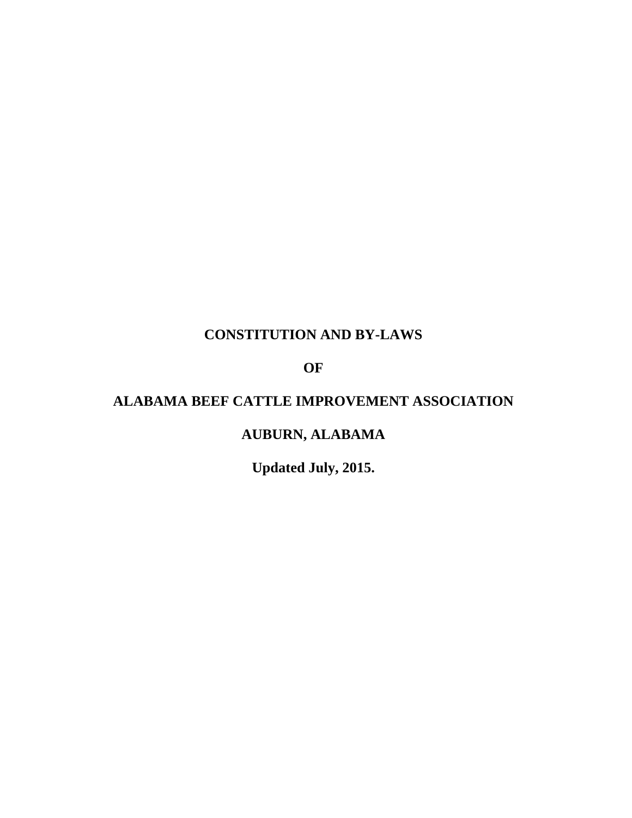# **CONSTITUTION AND BY-LAWS**

**OF** 

# **ALABAMA BEEF CATTLE IMPROVEMENT ASSOCIATION**

# **AUBURN, ALABAMA**

**Updated July, 2015.**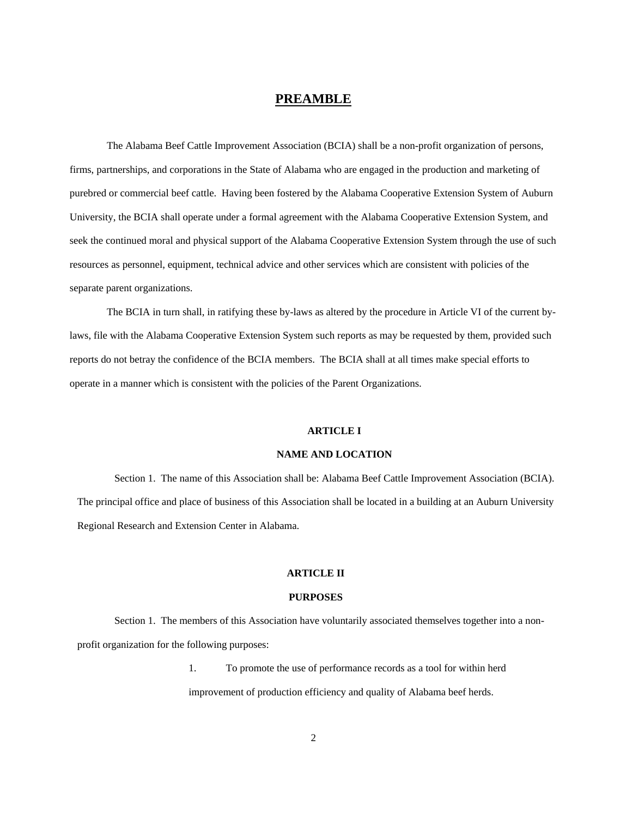## **PREAMBLE**

The Alabama Beef Cattle Improvement Association (BCIA) shall be a non-profit organization of persons, firms, partnerships, and corporations in the State of Alabama who are engaged in the production and marketing of purebred or commercial beef cattle. Having been fostered by the Alabama Cooperative Extension System of Auburn University, the BCIA shall operate under a formal agreement with the Alabama Cooperative Extension System, and seek the continued moral and physical support of the Alabama Cooperative Extension System through the use of such resources as personnel, equipment, technical advice and other services which are consistent with policies of the separate parent organizations.

The BCIA in turn shall, in ratifying these by-laws as altered by the procedure in Article VI of the current bylaws, file with the Alabama Cooperative Extension System such reports as may be requested by them, provided such reports do not betray the confidence of the BCIA members. The BCIA shall at all times make special efforts to operate in a manner which is consistent with the policies of the Parent Organizations.

### **ARTICLE I**

### **NAME AND LOCATION**

Section 1. The name of this Association shall be: Alabama Beef Cattle Improvement Association (BCIA). The principal office and place of business of this Association shall be located in a building at an Auburn University Regional Research and Extension Center in Alabama.

## **ARTICLE II**

## **PURPOSES**

Section 1. The members of this Association have voluntarily associated themselves together into a nonprofit organization for the following purposes:

> 1. To promote the use of performance records as a tool for within herd improvement of production efficiency and quality of Alabama beef herds.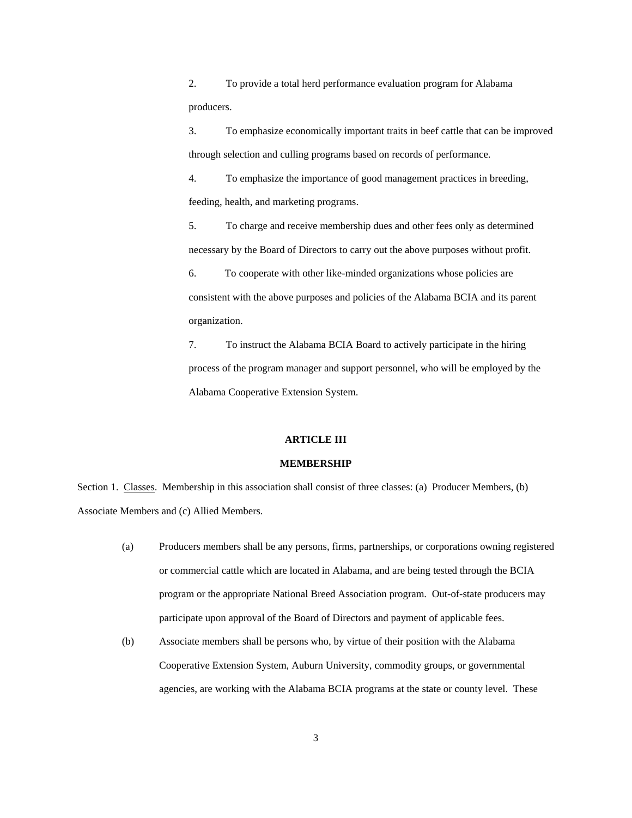2. To provide a total herd performance evaluation program for Alabama producers.

3. To emphasize economically important traits in beef cattle that can be improved through selection and culling programs based on records of performance.

4. To emphasize the importance of good management practices in breeding, feeding, health, and marketing programs.

5. To charge and receive membership dues and other fees only as determined necessary by the Board of Directors to carry out the above purposes without profit.

6. To cooperate with other like-minded organizations whose policies are consistent with the above purposes and policies of the Alabama BCIA and its parent organization.

7. To instruct the Alabama BCIA Board to actively participate in the hiring process of the program manager and support personnel, who will be employed by the Alabama Cooperative Extension System.

#### **ARTICLE III**

#### **MEMBERSHIP**

Section 1. Classes. Membership in this association shall consist of three classes: (a) Producer Members, (b) Associate Members and (c) Allied Members.

- (a) Producers members shall be any persons, firms, partnerships, or corporations owning registered or commercial cattle which are located in Alabama, and are being tested through the BCIA program or the appropriate National Breed Association program. Out-of-state producers may participate upon approval of the Board of Directors and payment of applicable fees.
- (b) Associate members shall be persons who, by virtue of their position with the Alabama Cooperative Extension System, Auburn University, commodity groups, or governmental agencies, are working with the Alabama BCIA programs at the state or county level. These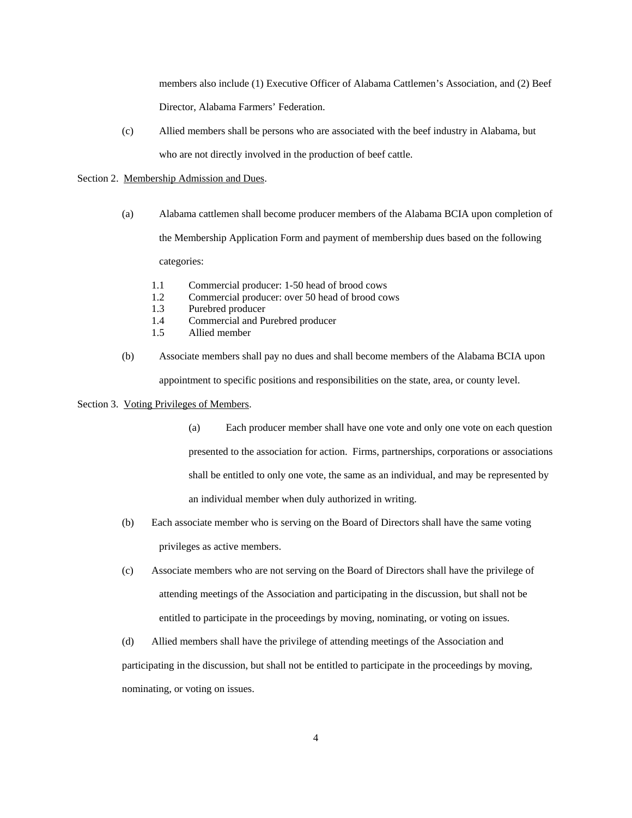members also include (1) Executive Officer of Alabama Cattlemen's Association, and (2) Beef Director, Alabama Farmers' Federation.

(c) Allied members shall be persons who are associated with the beef industry in Alabama, but who are not directly involved in the production of beef cattle.

#### Section 2. Membership Admission and Dues.

- (a) Alabama cattlemen shall become producer members of the Alabama BCIA upon completion of the Membership Application Form and payment of membership dues based on the following categories:
	- 1.1 Commercial producer: 1-50 head of brood cows
	- 1.2 Commercial producer: over 50 head of brood cows
	- 1.3 Purebred producer
	- 1.4 Commercial and Purebred producer
	- 1.5 Allied member
- (b) Associate members shall pay no dues and shall become members of the Alabama BCIA upon appointment to specific positions and responsibilities on the state, area, or county level.

### Section 3. Voting Privileges of Members.

- (a) Each producer member shall have one vote and only one vote on each question presented to the association for action. Firms, partnerships, corporations or associations shall be entitled to only one vote, the same as an individual, and may be represented by an individual member when duly authorized in writing.
- (b) Each associate member who is serving on the Board of Directors shall have the same voting privileges as active members.
- (c) Associate members who are not serving on the Board of Directors shall have the privilege of attending meetings of the Association and participating in the discussion, but shall not be entitled to participate in the proceedings by moving, nominating, or voting on issues.
- (d) Allied members shall have the privilege of attending meetings of the Association and participating in the discussion, but shall not be entitled to participate in the proceedings by moving, nominating, or voting on issues.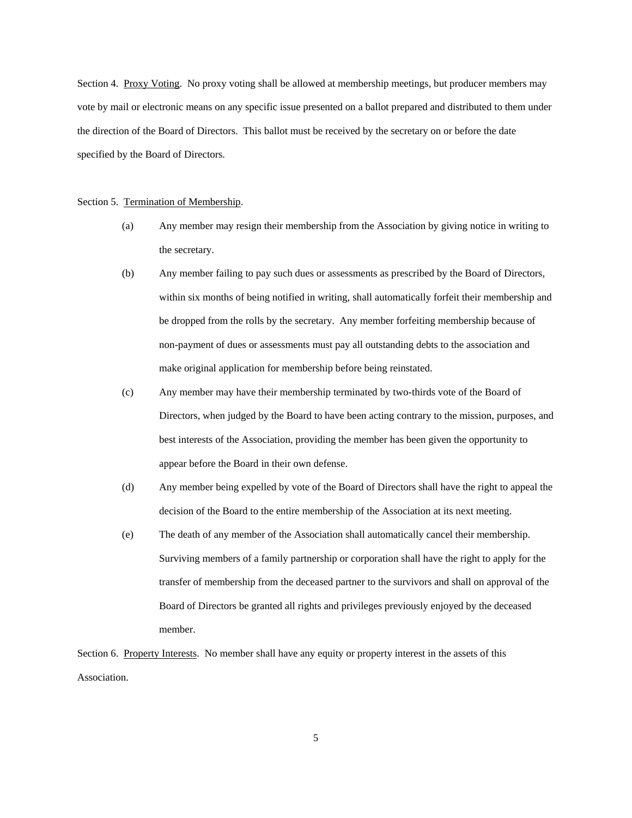Section 4. Proxy Voting. No proxy voting shall be allowed at membership meetings, but producer members may vote by mail or electronic means on any specific issue presented on a ballot prepared and distributed to them under the direction of the Board of Directors. This ballot must be received by the secretary on or before the date specified by the Board of Directors.

#### Section 5. Termination of Membership.

- (a) Any member may resign their membership from the Association by giving notice in writing to the secretary.
- (b) Any member failing to pay such dues or assessments as prescribed by the Board of Directors, within six months of being notified in writing, shall automatically forfeit their membership and be dropped from the rolls by the secretary. Any member forfeiting membership because of non-payment of dues or assessments must pay all outstanding debts to the association and make original application for membership before being reinstated.
- (c) Any member may have their membership terminated by two-thirds vote of the Board of Directors, when judged by the Board to have been acting contrary to the mission, purposes, and best interests of the Association, providing the member has been given the opportunity to appear before the Board in their own defense.
- (d) Any member being expelled by vote of the Board of Directors shall have the right to appeal the decision of the Board to the entire membership of the Association at its next meeting.
- (e) The death of any member of the Association shall automatically cancel their membership. Surviving members of a family partnership or corporation shall have the right to apply for the transfer of membership from the deceased partner to the survivors and shall on approval of the Board of Directors be granted all rights and privileges previously enjoyed by the deceased member.

Section 6. Property Interests. No member shall have any equity or property interest in the assets of this Association.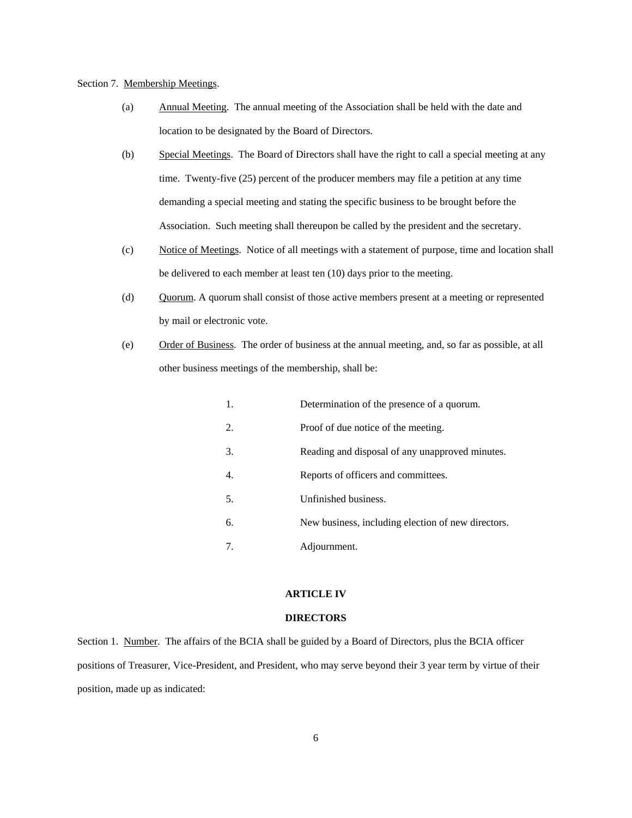#### Section 7. Membership Meetings.

- (a) Annual Meeting. The annual meeting of the Association shall be held with the date and location to be designated by the Board of Directors.
- (b) Special Meetings. The Board of Directors shall have the right to call a special meeting at any time. Twenty-five (25) percent of the producer members may file a petition at any time demanding a special meeting and stating the specific business to be brought before the Association. Such meeting shall thereupon be called by the president and the secretary.
- (c) Notice of Meetings. Notice of all meetings with a statement of purpose, time and location shall be delivered to each member at least ten (10) days prior to the meeting.
- (d) Quorum. A quorum shall consist of those active members present at a meeting or represented by mail or electronic vote.
- (e) Order of Business. The order of business at the annual meeting, and, so far as possible, at all other business meetings of the membership, shall be:

|    | Determination of the presence of a quorum.         |
|----|----------------------------------------------------|
| 2. | Proof of due notice of the meeting.                |
| 3. | Reading and disposal of any unapproved minutes.    |
| 4. | Reports of officers and committees.                |
| 5. | Unfinished business.                               |
| б. | New business, including election of new directors. |
| 7. | Adjournment.                                       |

### **ARTICLE IV**

#### **DIRECTORS**

Section 1. Number. The affairs of the BCIA shall be guided by a Board of Directors, plus the BCIA officer positions of Treasurer, Vice-President, and President, who may serve beyond their 3 year term by virtue of their position, made up as indicated: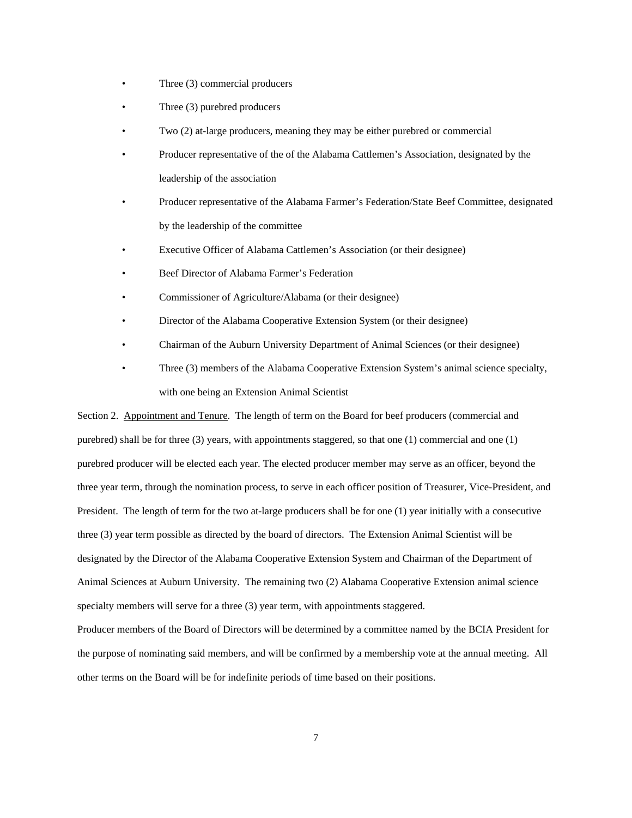- Three (3) commercial producers
- Three (3) purebred producers
- Two (2) at-large producers, meaning they may be either purebred or commercial
- Producer representative of the of the Alabama Cattlemen's Association, designated by the leadership of the association
- Producer representative of the Alabama Farmer's Federation/State Beef Committee, designated by the leadership of the committee
- Executive Officer of Alabama Cattlemen's Association (or their designee)
- Beef Director of Alabama Farmer's Federation
- Commissioner of Agriculture/Alabama (or their designee)
- Director of the Alabama Cooperative Extension System (or their designee)
- Chairman of the Auburn University Department of Animal Sciences (or their designee)
- Three (3) members of the Alabama Cooperative Extension System's animal science specialty, with one being an Extension Animal Scientist

Section 2. Appointment and Tenure. The length of term on the Board for beef producers (commercial and purebred) shall be for three (3) years, with appointments staggered, so that one (1) commercial and one (1) purebred producer will be elected each year. The elected producer member may serve as an officer, beyond the three year term, through the nomination process, to serve in each officer position of Treasurer, Vice-President, and President. The length of term for the two at-large producers shall be for one (1) year initially with a consecutive three (3) year term possible as directed by the board of directors. The Extension Animal Scientist will be designated by the Director of the Alabama Cooperative Extension System and Chairman of the Department of Animal Sciences at Auburn University. The remaining two (2) Alabama Cooperative Extension animal science specialty members will serve for a three (3) year term, with appointments staggered. Producer members of the Board of Directors will be determined by a committee named by the BCIA President for

the purpose of nominating said members, and will be confirmed by a membership vote at the annual meeting. All other terms on the Board will be for indefinite periods of time based on their positions.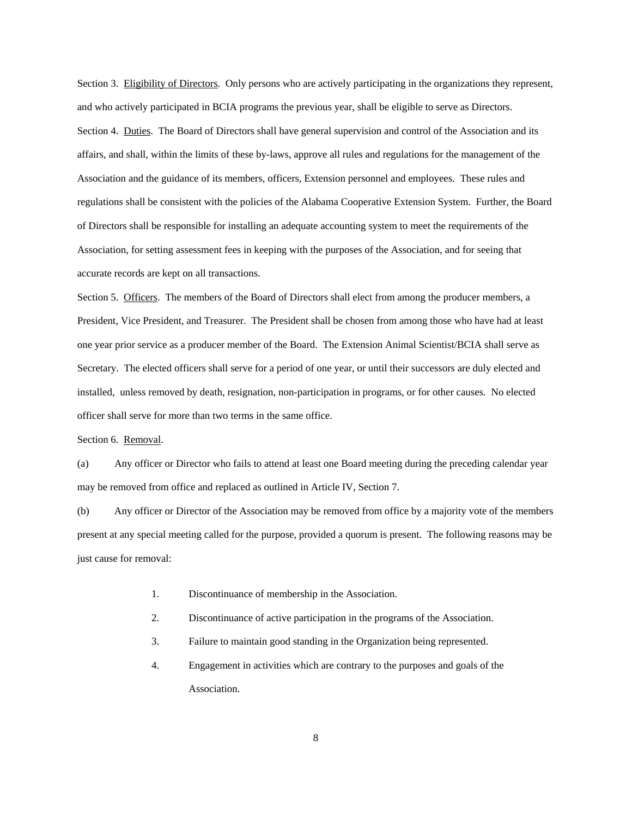Section 3. Eligibility of Directors. Only persons who are actively participating in the organizations they represent, and who actively participated in BCIA programs the previous year, shall be eligible to serve as Directors. Section 4. Duties. The Board of Directors shall have general supervision and control of the Association and its affairs, and shall, within the limits of these by-laws, approve all rules and regulations for the management of the Association and the guidance of its members, officers, Extension personnel and employees. These rules and regulations shall be consistent with the policies of the Alabama Cooperative Extension System. Further, the Board of Directors shall be responsible for installing an adequate accounting system to meet the requirements of the Association, for setting assessment fees in keeping with the purposes of the Association, and for seeing that accurate records are kept on all transactions.

Section 5. Officers. The members of the Board of Directors shall elect from among the producer members, a President, Vice President, and Treasurer. The President shall be chosen from among those who have had at least one year prior service as a producer member of the Board. The Extension Animal Scientist/BCIA shall serve as Secretary. The elected officers shall serve for a period of one year, or until their successors are duly elected and installed, unless removed by death, resignation, non-participation in programs, or for other causes. No elected officer shall serve for more than two terms in the same office.

Section 6. Removal.

(a) Any officer or Director who fails to attend at least one Board meeting during the preceding calendar year may be removed from office and replaced as outlined in Article IV, Section 7.

(b) Any officer or Director of the Association may be removed from office by a majority vote of the members present at any special meeting called for the purpose, provided a quorum is present. The following reasons may be just cause for removal:

- 1. Discontinuance of membership in the Association.
- 2. Discontinuance of active participation in the programs of the Association.
- 3. Failure to maintain good standing in the Organization being represented.
- 4. Engagement in activities which are contrary to the purposes and goals of the Association.

8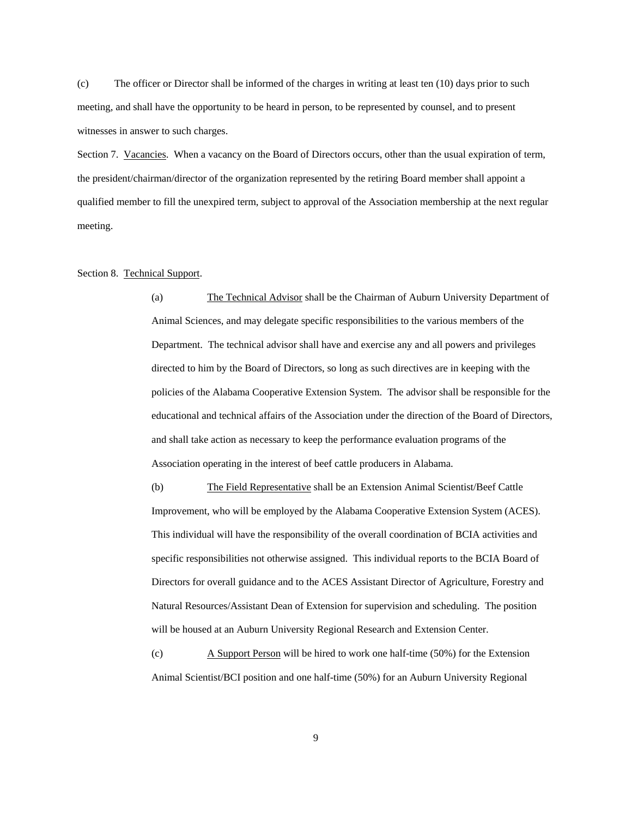(c) The officer or Director shall be informed of the charges in writing at least ten (10) days prior to such meeting, and shall have the opportunity to be heard in person, to be represented by counsel, and to present witnesses in answer to such charges.

Section 7. Vacancies. When a vacancy on the Board of Directors occurs, other than the usual expiration of term, the president/chairman/director of the organization represented by the retiring Board member shall appoint a qualified member to fill the unexpired term, subject to approval of the Association membership at the next regular meeting.

## Section 8. Technical Support.

(a) The Technical Advisor shall be the Chairman of Auburn University Department of Animal Sciences, and may delegate specific responsibilities to the various members of the Department. The technical advisor shall have and exercise any and all powers and privileges directed to him by the Board of Directors, so long as such directives are in keeping with the policies of the Alabama Cooperative Extension System. The advisor shall be responsible for the educational and technical affairs of the Association under the direction of the Board of Directors, and shall take action as necessary to keep the performance evaluation programs of the Association operating in the interest of beef cattle producers in Alabama.

(b) The Field Representative shall be an Extension Animal Scientist/Beef Cattle Improvement, who will be employed by the Alabama Cooperative Extension System (ACES). This individual will have the responsibility of the overall coordination of BCIA activities and specific responsibilities not otherwise assigned. This individual reports to the BCIA Board of Directors for overall guidance and to the ACES Assistant Director of Agriculture, Forestry and Natural Resources/Assistant Dean of Extension for supervision and scheduling. The position will be housed at an Auburn University Regional Research and Extension Center.

(c) A Support Person will be hired to work one half-time (50%) for the Extension Animal Scientist/BCI position and one half-time (50%) for an Auburn University Regional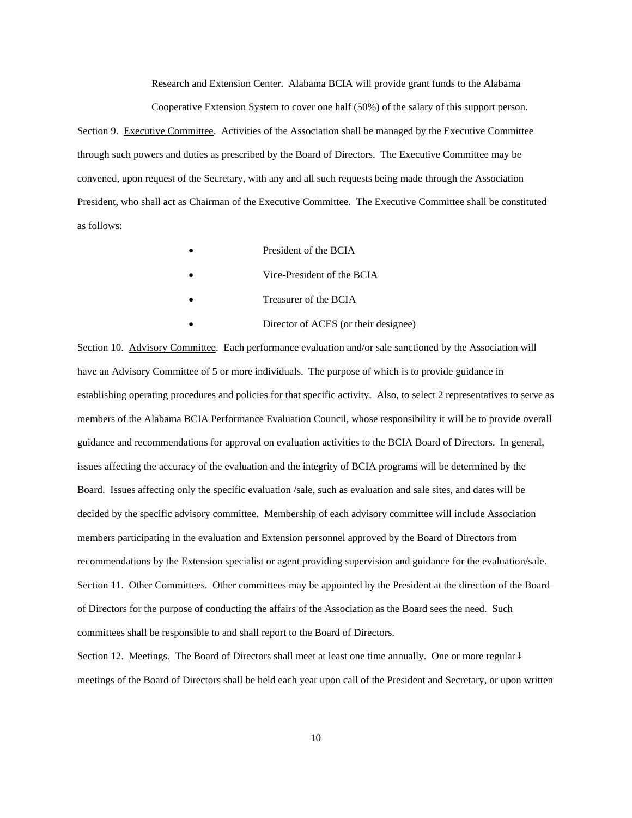Research and Extension Center. Alabama BCIA will provide grant funds to the Alabama Cooperative Extension System to cover one half (50%) of the salary of this support person.

Section 9. Executive Committee. Activities of the Association shall be managed by the Executive Committee through such powers and duties as prescribed by the Board of Directors. The Executive Committee may be convened, upon request of the Secretary, with any and all such requests being made through the Association President, who shall act as Chairman of the Executive Committee. The Executive Committee shall be constituted as follows:

- President of the BCIA
- Vice-President of the BCIA
- Treasurer of the BCIA
- Director of ACES (or their designee)

Section 10. Advisory Committee. Each performance evaluation and/or sale sanctioned by the Association will have an Advisory Committee of 5 or more individuals. The purpose of which is to provide guidance in establishing operating procedures and policies for that specific activity. Also, to select 2 representatives to serve as members of the Alabama BCIA Performance Evaluation Council, whose responsibility it will be to provide overall guidance and recommendations for approval on evaluation activities to the BCIA Board of Directors. In general, issues affecting the accuracy of the evaluation and the integrity of BCIA programs will be determined by the Board. Issues affecting only the specific evaluation /sale, such as evaluation and sale sites, and dates will be decided by the specific advisory committee. Membership of each advisory committee will include Association members participating in the evaluation and Extension personnel approved by the Board of Directors from recommendations by the Extension specialist or agent providing supervision and guidance for the evaluation/sale. Section 11. Other Committees. Other committees may be appointed by the President at the direction of the Board of Directors for the purpose of conducting the affairs of the Association as the Board sees the need. Such committees shall be responsible to and shall report to the Board of Directors.

Section 12. Meetings. The Board of Directors shall meet at least one time annually. One or more regular  $\frac{1}{2}$ meetings of the Board of Directors shall be held each year upon call of the President and Secretary, or upon written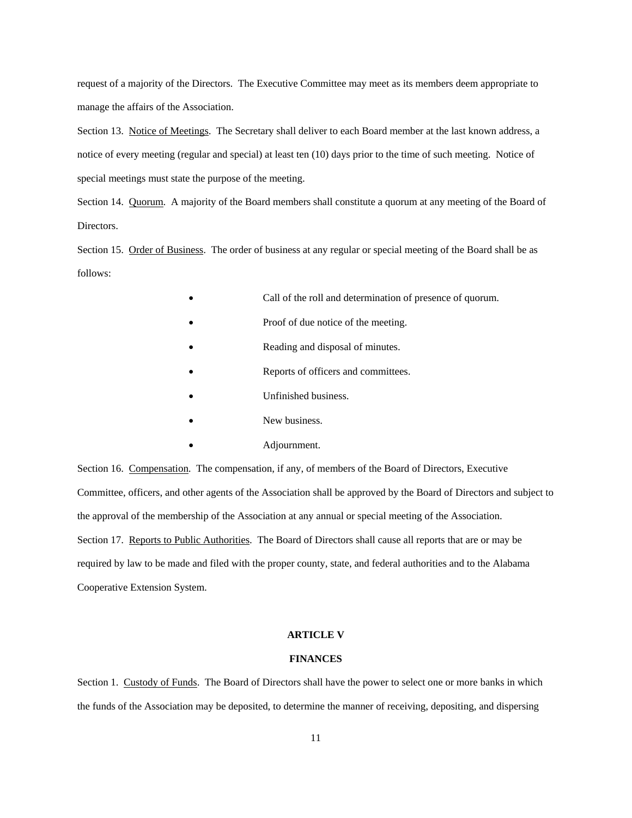request of a majority of the Directors. The Executive Committee may meet as its members deem appropriate to manage the affairs of the Association.

Section 13. Notice of Meetings. The Secretary shall deliver to each Board member at the last known address, a notice of every meeting (regular and special) at least ten (10) days prior to the time of such meeting. Notice of special meetings must state the purpose of the meeting.

Section 14. Quorum. A majority of the Board members shall constitute a quorum at any meeting of the Board of Directors.

Section 15. Order of Business. The order of business at any regular or special meeting of the Board shall be as follows:

- Call of the roll and determination of presence of quorum.
- Proof of due notice of the meeting.
- Reading and disposal of minutes.
- Reports of officers and committees.
- Unfinished business.
- New business.
	- Adjournment.

Section 16. Compensation. The compensation, if any, of members of the Board of Directors, Executive Committee, officers, and other agents of the Association shall be approved by the Board of Directors and subject to the approval of the membership of the Association at any annual or special meeting of the Association. Section 17. Reports to Public Authorities. The Board of Directors shall cause all reports that are or may be required by law to be made and filed with the proper county, state, and federal authorities and to the Alabama Cooperative Extension System.

#### **ARTICLE V**

## **FINANCES**

Section 1. Custody of Funds. The Board of Directors shall have the power to select one or more banks in which the funds of the Association may be deposited, to determine the manner of receiving, depositing, and dispersing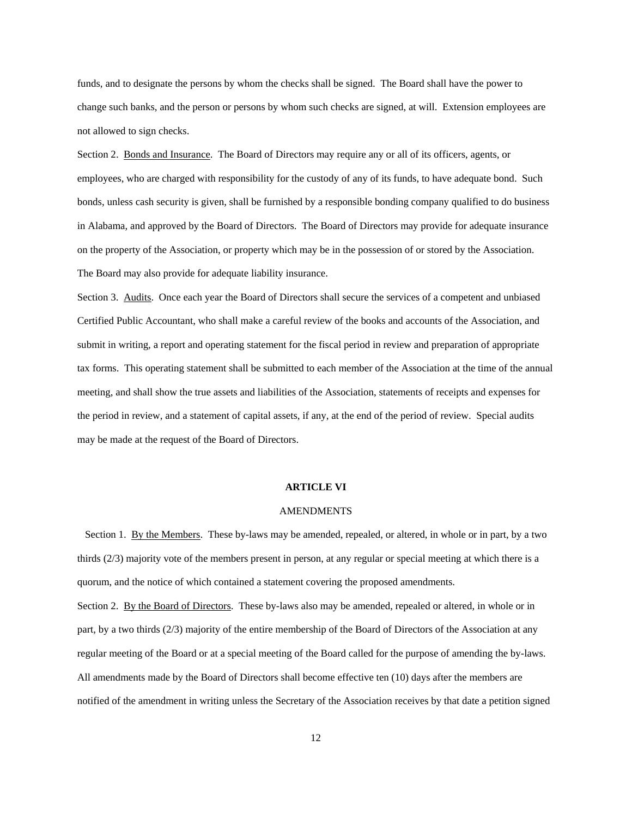funds, and to designate the persons by whom the checks shall be signed. The Board shall have the power to change such banks, and the person or persons by whom such checks are signed, at will. Extension employees are not allowed to sign checks.

Section 2. Bonds and Insurance. The Board of Directors may require any or all of its officers, agents, or employees, who are charged with responsibility for the custody of any of its funds, to have adequate bond. Such bonds, unless cash security is given, shall be furnished by a responsible bonding company qualified to do business in Alabama, and approved by the Board of Directors. The Board of Directors may provide for adequate insurance on the property of the Association, or property which may be in the possession of or stored by the Association. The Board may also provide for adequate liability insurance.

Section 3. Audits. Once each year the Board of Directors shall secure the services of a competent and unbiased Certified Public Accountant, who shall make a careful review of the books and accounts of the Association, and submit in writing, a report and operating statement for the fiscal period in review and preparation of appropriate tax forms. This operating statement shall be submitted to each member of the Association at the time of the annual meeting, and shall show the true assets and liabilities of the Association, statements of receipts and expenses for the period in review, and a statement of capital assets, if any, at the end of the period of review. Special audits may be made at the request of the Board of Directors.

#### **ARTICLE VI**

### **AMENDMENTS**

 Section 1. By the Members. These by-laws may be amended, repealed, or altered, in whole or in part, by a two thirds (2/3) majority vote of the members present in person, at any regular or special meeting at which there is a quorum, and the notice of which contained a statement covering the proposed amendments.

Section 2. By the Board of Directors. These by-laws also may be amended, repealed or altered, in whole or in part, by a two thirds (2/3) majority of the entire membership of the Board of Directors of the Association at any regular meeting of the Board or at a special meeting of the Board called for the purpose of amending the by-laws. All amendments made by the Board of Directors shall become effective ten (10) days after the members are notified of the amendment in writing unless the Secretary of the Association receives by that date a petition signed